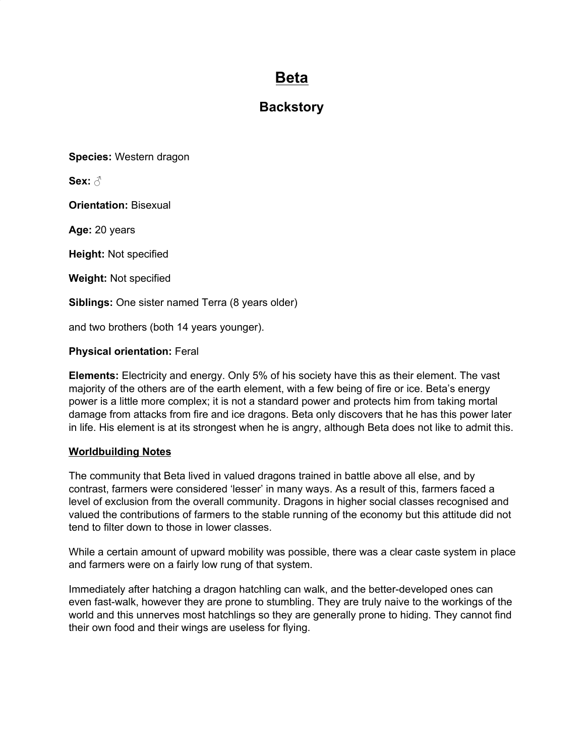# **Beta**

## **Backstory**

**Species:** Western dragon

**Sex:** ♂

**Orientation:** Bisexual

**Age:** 20 years

**Height:** Not specified

**Weight:** Not specified

**Siblings:** One sister named Terra (8 years older)

and two brothers (both 14 years younger).

#### **Physical orientation:** Feral

**Elements:** Electricity and energy. Only 5% of his society have this as their element. The vast majority of the others are of the earth element, with a few being of fire or ice. Beta's energy power is a little more complex; it is not a standard power and protects him from taking mortal damage from attacks from fire and ice dragons. Beta only discovers that he has this power later in life. His element is at its strongest when he is angry, although Beta does not like to admit this.

#### **Worldbuilding Notes**

The community that Beta lived in valued dragons trained in battle above all else, and by contrast, farmers were considered 'lesser' in many ways. As a result of this, farmers faced a level of exclusion from the overall community. Dragons in higher social classes recognised and valued the contributions of farmers to the stable running of the economy but this attitude did not tend to filter down to those in lower classes.

While a certain amount of upward mobility was possible, there was a clear caste system in place and farmers were on a fairly low rung of that system.

Immediately after hatching a dragon hatchling can walk, and the better-developed ones can even fast-walk, however they are prone to stumbling. They are truly naive to the workings of the world and this unnerves most hatchlings so they are generally prone to hiding. They cannot find their own food and their wings are useless for flying.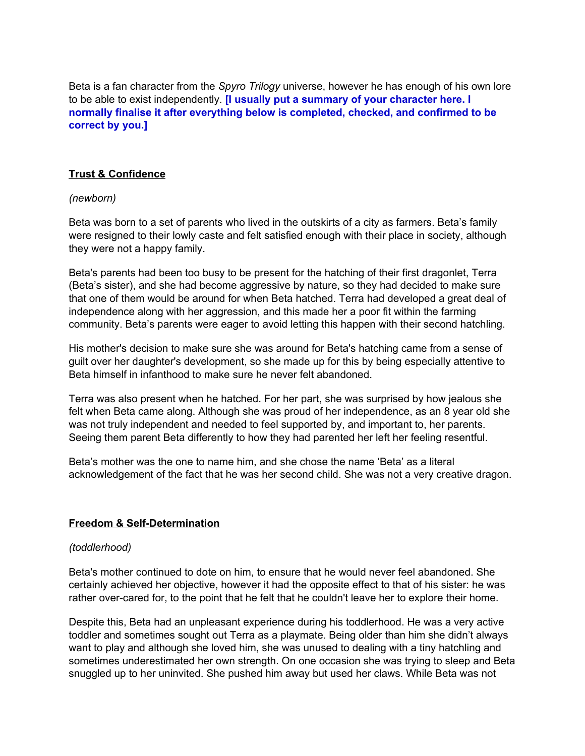Beta is a fan character from the *Spyro Trilogy* universe, however he has enough of his own lore to be able to exist independently. **[I usually put a summary of your character here. I normally finalise it after everything below is completed, checked, and confirmed to be correct by you.]**

## **Trust & Confidence**

#### *(newborn)*

Beta was born to a set of parents who lived in the outskirts of a city as farmers. Beta's family were resigned to their lowly caste and felt satisfied enough with their place in society, although they were not a happy family.

Beta's parents had been too busy to be present for the hatching of their first dragonlet, Terra (Beta's sister), and she had become aggressive by nature, so they had decided to make sure that one of them would be around for when Beta hatched. Terra had developed a great deal of independence along with her aggression, and this made her a poor fit within the farming community. Beta's parents were eager to avoid letting this happen with their second hatchling.

His mother's decision to make sure she was around for Beta's hatching came from a sense of guilt over her daughter's development, so she made up for this by being especially attentive to Beta himself in infanthood to make sure he never felt abandoned.

Terra was also present when he hatched. For her part, she was surprised by how jealous she felt when Beta came along. Although she was proud of her independence, as an 8 year old she was not truly independent and needed to feel supported by, and important to, her parents. Seeing them parent Beta differently to how they had parented her left her feeling resentful.

Beta's mother was the one to name him, and she chose the name 'Beta' as a literal acknowledgement of the fact that he was her second child. She was not a very creative dragon.

#### **Freedom & Self-Determination**

#### *(toddlerhood)*

Beta's mother continued to dote on him, to ensure that he would never feel abandoned. She certainly achieved her objective, however it had the opposite effect to that of his sister: he was rather over-cared for, to the point that he felt that he couldn't leave her to explore their home.

Despite this, Beta had an unpleasant experience during his toddlerhood. He was a very active toddler and sometimes sought out Terra as a playmate. Being older than him she didn't always want to play and although she loved him, she was unused to dealing with a tiny hatchling and sometimes underestimated her own strength. On one occasion she was trying to sleep and Beta snuggled up to her uninvited. She pushed him away but used her claws. While Beta was not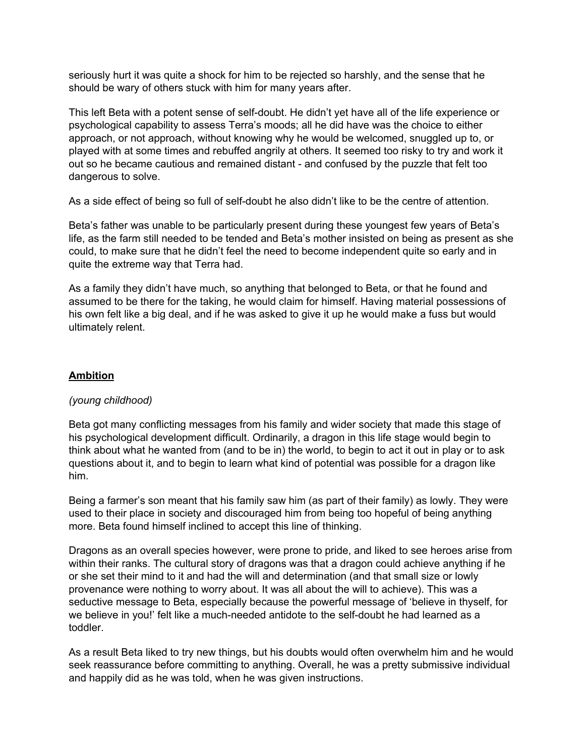seriously hurt it was quite a shock for him to be rejected so harshly, and the sense that he should be wary of others stuck with him for many years after.

This left Beta with a potent sense of self-doubt. He didn't yet have all of the life experience or psychological capability to assess Terra's moods; all he did have was the choice to either approach, or not approach, without knowing why he would be welcomed, snuggled up to, or played with at some times and rebuffed angrily at others. It seemed too risky to try and work it out so he became cautious and remained distant - and confused by the puzzle that felt too dangerous to solve.

As a side effect of being so full of self-doubt he also didn't like to be the centre of attention.

Beta's father was unable to be particularly present during these youngest few years of Beta's life, as the farm still needed to be tended and Beta's mother insisted on being as present as she could, to make sure that he didn't feel the need to become independent quite so early and in quite the extreme way that Terra had.

As a family they didn't have much, so anything that belonged to Beta, or that he found and assumed to be there for the taking, he would claim for himself. Having material possessions of his own felt like a big deal, and if he was asked to give it up he would make a fuss but would ultimately relent.

## **Ambition**

#### *(young childhood)*

Beta got many conflicting messages from his family and wider society that made this stage of his psychological development difficult. Ordinarily, a dragon in this life stage would begin to think about what he wanted from (and to be in) the world, to begin to act it out in play or to ask questions about it, and to begin to learn what kind of potential was possible for a dragon like him.

Being a farmer's son meant that his family saw him (as part of their family) as lowly. They were used to their place in society and discouraged him from being too hopeful of being anything more. Beta found himself inclined to accept this line of thinking.

Dragons as an overall species however, were prone to pride, and liked to see heroes arise from within their ranks. The cultural story of dragons was that a dragon could achieve anything if he or she set their mind to it and had the will and determination (and that small size or lowly provenance were nothing to worry about. It was all about the will to achieve). This was a seductive message to Beta, especially because the powerful message of 'believe in thyself, for we believe in you!' felt like a much-needed antidote to the self-doubt he had learned as a toddler.

As a result Beta liked to try new things, but his doubts would often overwhelm him and he would seek reassurance before committing to anything. Overall, he was a pretty submissive individual and happily did as he was told, when he was given instructions.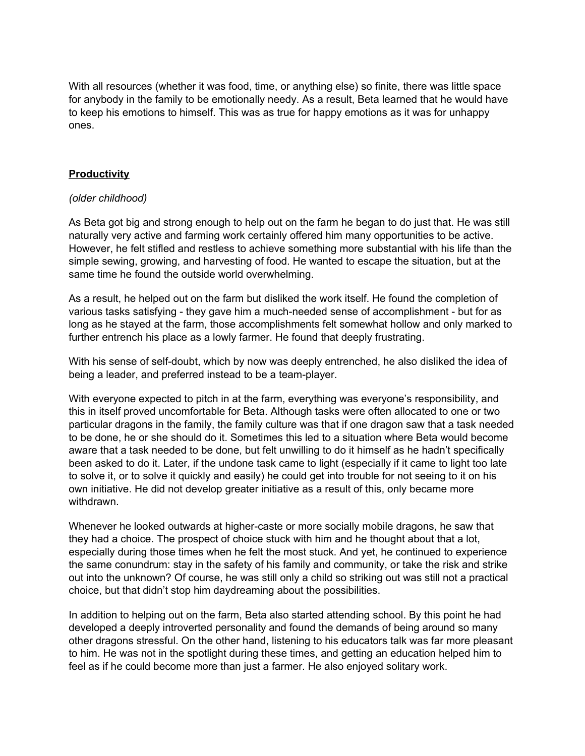With all resources (whether it was food, time, or anything else) so finite, there was little space for anybody in the family to be emotionally needy. As a result, Beta learned that he would have to keep his emotions to himself. This was as true for happy emotions as it was for unhappy ones.

#### **Productivity**

#### *(older childhood)*

As Beta got big and strong enough to help out on the farm he began to do just that. He was still naturally very active and farming work certainly offered him many opportunities to be active. However, he felt stifled and restless to achieve something more substantial with his life than the simple sewing, growing, and harvesting of food. He wanted to escape the situation, but at the same time he found the outside world overwhelming.

As a result, he helped out on the farm but disliked the work itself. He found the completion of various tasks satisfying - they gave him a much-needed sense of accomplishment - but for as long as he stayed at the farm, those accomplishments felt somewhat hollow and only marked to further entrench his place as a lowly farmer. He found that deeply frustrating.

With his sense of self-doubt, which by now was deeply entrenched, he also disliked the idea of being a leader, and preferred instead to be a team-player.

With everyone expected to pitch in at the farm, everything was everyone's responsibility, and this in itself proved uncomfortable for Beta. Although tasks were often allocated to one or two particular dragons in the family, the family culture was that if one dragon saw that a task needed to be done, he or she should do it. Sometimes this led to a situation where Beta would become aware that a task needed to be done, but felt unwilling to do it himself as he hadn't specifically been asked to do it. Later, if the undone task came to light (especially if it came to light too late to solve it, or to solve it quickly and easily) he could get into trouble for not seeing to it on his own initiative. He did not develop greater initiative as a result of this, only became more withdrawn.

Whenever he looked outwards at higher-caste or more socially mobile dragons, he saw that they had a choice. The prospect of choice stuck with him and he thought about that a lot, especially during those times when he felt the most stuck. And yet, he continued to experience the same conundrum: stay in the safety of his family and community, or take the risk and strike out into the unknown? Of course, he was still only a child so striking out was still not a practical choice, but that didn't stop him daydreaming about the possibilities.

In addition to helping out on the farm, Beta also started attending school. By this point he had developed a deeply introverted personality and found the demands of being around so many other dragons stressful. On the other hand, listening to his educators talk was far more pleasant to him. He was not in the spotlight during these times, and getting an education helped him to feel as if he could become more than just a farmer. He also enjoyed solitary work.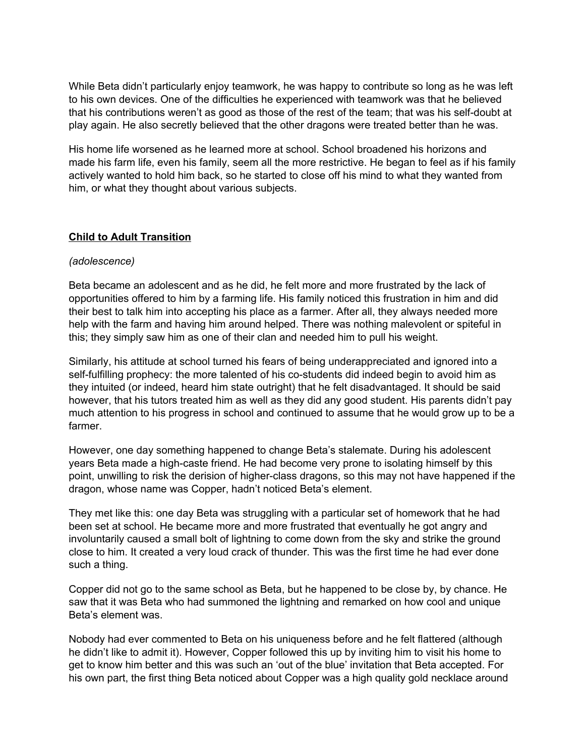While Beta didn't particularly enjoy teamwork, he was happy to contribute so long as he was left to his own devices. One of the difficulties he experienced with teamwork was that he believed that his contributions weren't as good as those of the rest of the team; that was his self-doubt at play again. He also secretly believed that the other dragons were treated better than he was.

His home life worsened as he learned more at school. School broadened his horizons and made his farm life, even his family, seem all the more restrictive. He began to feel as if his family actively wanted to hold him back, so he started to close off his mind to what they wanted from him, or what they thought about various subjects.

#### **Child to Adult Transition**

#### *(adolescence)*

Beta became an adolescent and as he did, he felt more and more frustrated by the lack of opportunities offered to him by a farming life. His family noticed this frustration in him and did their best to talk him into accepting his place as a farmer. After all, they always needed more help with the farm and having him around helped. There was nothing malevolent or spiteful in this; they simply saw him as one of their clan and needed him to pull his weight.

Similarly, his attitude at school turned his fears of being underappreciated and ignored into a self-fulfilling prophecy: the more talented of his co-students did indeed begin to avoid him as they intuited (or indeed, heard him state outright) that he felt disadvantaged. It should be said however, that his tutors treated him as well as they did any good student. His parents didn't pay much attention to his progress in school and continued to assume that he would grow up to be a farmer.

However, one day something happened to change Beta's stalemate. During his adolescent years Beta made a high-caste friend. He had become very prone to isolating himself by this point, unwilling to risk the derision of higher-class dragons, so this may not have happened if the dragon, whose name was Copper, hadn't noticed Beta's element.

They met like this: one day Beta was struggling with a particular set of homework that he had been set at school. He became more and more frustrated that eventually he got angry and involuntarily caused a small bolt of lightning to come down from the sky and strike the ground close to him. It created a very loud crack of thunder. This was the first time he had ever done such a thing.

Copper did not go to the same school as Beta, but he happened to be close by, by chance. He saw that it was Beta who had summoned the lightning and remarked on how cool and unique Beta's element was.

Nobody had ever commented to Beta on his uniqueness before and he felt flattered (although he didn't like to admit it). However, Copper followed this up by inviting him to visit his home to get to know him better and this was such an 'out of the blue' invitation that Beta accepted. For his own part, the first thing Beta noticed about Copper was a high quality gold necklace around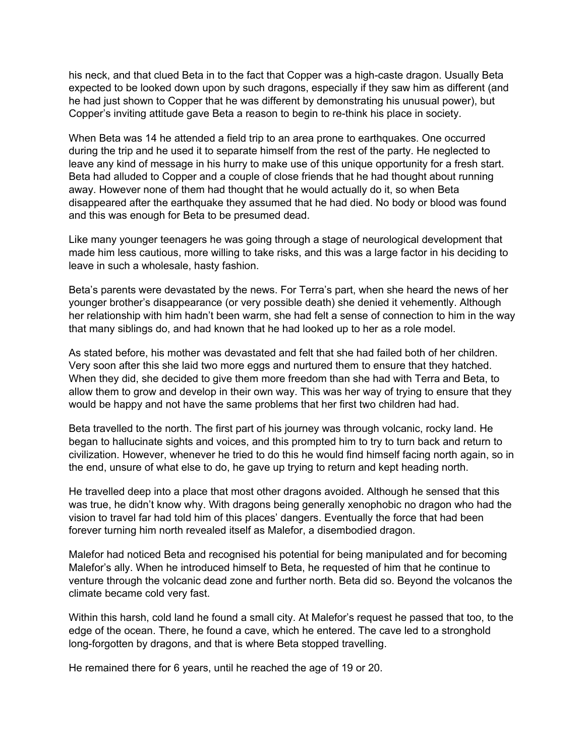his neck, and that clued Beta in to the fact that Copper was a high-caste dragon. Usually Beta expected to be looked down upon by such dragons, especially if they saw him as different (and he had just shown to Copper that he was different by demonstrating his unusual power), but Copper's inviting attitude gave Beta a reason to begin to re-think his place in society.

When Beta was 14 he attended a field trip to an area prone to earthquakes. One occurred during the trip and he used it to separate himself from the rest of the party. He neglected to leave any kind of message in his hurry to make use of this unique opportunity for a fresh start. Beta had alluded to Copper and a couple of close friends that he had thought about running away. However none of them had thought that he would actually do it, so when Beta disappeared after the earthquake they assumed that he had died. No body or blood was found and this was enough for Beta to be presumed dead.

Like many younger teenagers he was going through a stage of neurological development that made him less cautious, more willing to take risks, and this was a large factor in his deciding to leave in such a wholesale, hasty fashion.

Beta's parents were devastated by the news. For Terra's part, when she heard the news of her younger brother's disappearance (or very possible death) she denied it vehemently. Although her relationship with him hadn't been warm, she had felt a sense of connection to him in the way that many siblings do, and had known that he had looked up to her as a role model.

As stated before, his mother was devastated and felt that she had failed both of her children. Very soon after this she laid two more eggs and nurtured them to ensure that they hatched. When they did, she decided to give them more freedom than she had with Terra and Beta, to allow them to grow and develop in their own way. This was her way of trying to ensure that they would be happy and not have the same problems that her first two children had had.

Beta travelled to the north. The first part of his journey was through volcanic, rocky land. He began to hallucinate sights and voices, and this prompted him to try to turn back and return to civilization. However, whenever he tried to do this he would find himself facing north again, so in the end, unsure of what else to do, he gave up trying to return and kept heading north.

He travelled deep into a place that most other dragons avoided. Although he sensed that this was true, he didn't know why. With dragons being generally xenophobic no dragon who had the vision to travel far had told him of this places' dangers. Eventually the force that had been forever turning him north revealed itself as Malefor, a disembodied dragon.

Malefor had noticed Beta and recognised his potential for being manipulated and for becoming Malefor's ally. When he introduced himself to Beta, he requested of him that he continue to venture through the volcanic dead zone and further north. Beta did so. Beyond the volcanos the climate became cold very fast.

Within this harsh, cold land he found a small city. At Malefor's request he passed that too, to the edge of the ocean. There, he found a cave, which he entered. The cave led to a stronghold long-forgotten by dragons, and that is where Beta stopped travelling.

He remained there for 6 years, until he reached the age of 19 or 20.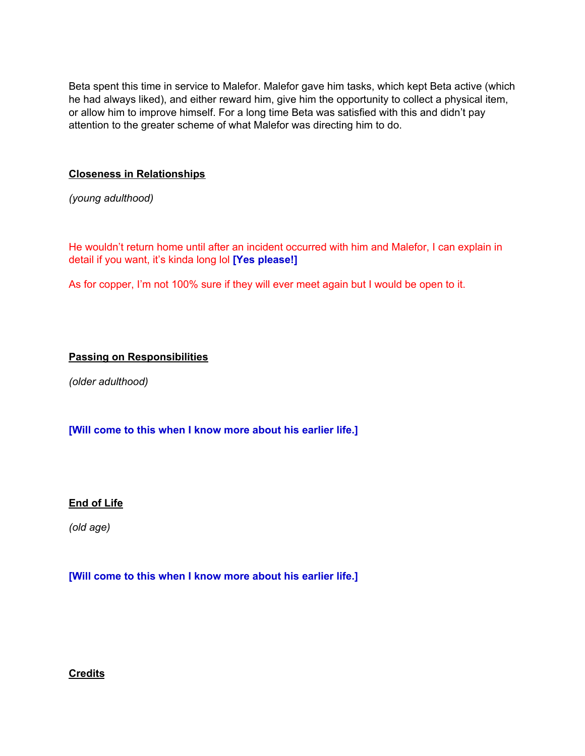Beta spent this time in service to Malefor. Malefor gave him tasks, which kept Beta active (which he had always liked), and either reward him, give him the opportunity to collect a physical item, or allow him to improve himself. For a long time Beta was satisfied with this and didn't pay attention to the greater scheme of what Malefor was directing him to do.

#### **Closeness in Relationships**

*(young adulthood)*

He wouldn't return home until after an incident occurred with him and Malefor, I can explain in detail if you want, it's kinda long lol **[Yes please!]**

As for copper, I'm not 100% sure if they will ever meet again but I would be open to it.

## **Passing on Responsibilities**

*(older adulthood)*

## **[Will come to this when I know more about his earlier life.]**

#### **End of Life**

*(old age)*

#### **[Will come to this when I know more about his earlier life.]**

#### **Credits**